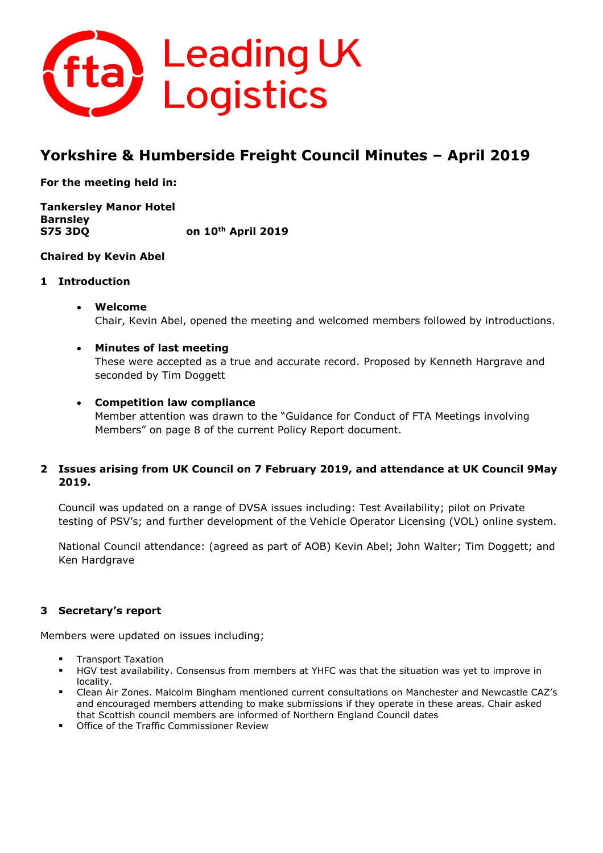

# **Yorkshire & Humberside Freight Council Minutes – April 2019**

**For the meeting held in:**

**Tankersley Manor Hotel Barnsley S75 3DQ on 10th April 2019**

# **Chaired by Kevin Abel**

# **1 Introduction**

- **Welcome** Chair, Kevin Abel, opened the meeting and welcomed members followed by introductions.
- **Minutes of last meeting** These were accepted as a true and accurate record. Proposed by Kenneth Hargrave and seconded by Tim Doggett

# • **Competition law compliance**

Member attention was drawn to the "Guidance for Conduct of FTA Meetings involving Members" on page 8 of the current Policy Report document.

# **2 Issues arising from UK Council on 7 February 2019, and attendance at UK Council 9May 2019.**

Council was updated on a range of DVSA issues including: Test Availability; pilot on Private testing of PSV's; and further development of the Vehicle Operator Licensing (VOL) online system.

National Council attendance: (agreed as part of AOB) Kevin Abel; John Walter; Tim Doggett; and Ken Hardgrave

# **3 Secretary's report**

Members were updated on issues including;

- **Transport Taxation**
- HGV test availability. Consensus from members at YHFC was that the situation was yet to improve in locality.
- Clean Air Zones. Malcolm Bingham mentioned current consultations on Manchester and Newcastle CAZ's and encouraged members attending to make submissions if they operate in these areas. Chair asked that Scottish council members are informed of Northern England Council dates
- Office of the Traffic Commissioner Review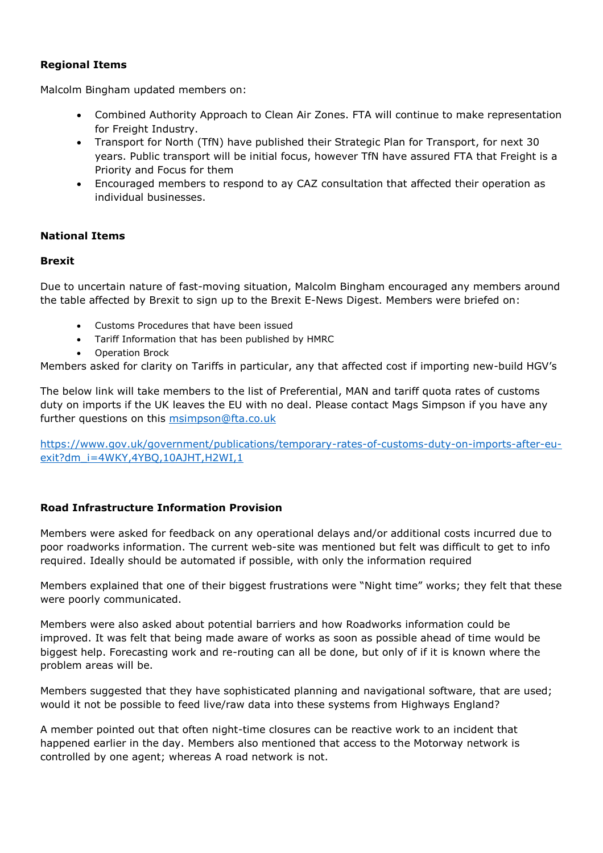# **Regional Items**

Malcolm Bingham updated members on:

- Combined Authority Approach to Clean Air Zones. FTA will continue to make representation for Freight Industry.
- Transport for North (TfN) have published their Strategic Plan for Transport, for next 30 years. Public transport will be initial focus, however TfN have assured FTA that Freight is a Priority and Focus for them
- Encouraged members to respond to ay CAZ consultation that affected their operation as individual businesses.

#### **National Items**

#### **Brexit**

Due to uncertain nature of fast-moving situation, Malcolm Bingham encouraged any members around the table affected by Brexit to sign up to the Brexit E-News Digest. Members were briefed on:

- Customs Procedures that have been issued
- Tariff Information that has been published by HMRC
- Operation Brock

Members asked for clarity on Tariffs in particular, any that affected cost if importing new-build HGV's

The below link will take members to the list of Preferential, MAN and tariff quota rates of customs duty on imports if the UK leaves the EU with no deal. Please contact Mags Simpson if you have any further questions on this [msimpson@fta.co.uk](mailto:msimpson@fta.co.uk)

[https://www.gov.uk/government/publications/temporary-rates-of-customs-duty-on-imports-after-eu](https://www.gov.uk/government/publications/temporary-rates-of-customs-duty-on-imports-after-eu-exit?dm_i=4WKY,4YBQ,10AJHT,H2WI,1)[exit?dm\\_i=4WKY,4YBQ,10AJHT,H2WI,1](https://www.gov.uk/government/publications/temporary-rates-of-customs-duty-on-imports-after-eu-exit?dm_i=4WKY,4YBQ,10AJHT,H2WI,1)

# **Road Infrastructure Information Provision**

Members were asked for feedback on any operational delays and/or additional costs incurred due to poor roadworks information. The current web-site was mentioned but felt was difficult to get to info required. Ideally should be automated if possible, with only the information required

Members explained that one of their biggest frustrations were "Night time" works; they felt that these were poorly communicated.

Members were also asked about potential barriers and how Roadworks information could be improved. It was felt that being made aware of works as soon as possible ahead of time would be biggest help. Forecasting work and re-routing can all be done, but only of if it is known where the problem areas will be.

Members suggested that they have sophisticated planning and navigational software, that are used; would it not be possible to feed live/raw data into these systems from Highways England?

A member pointed out that often night-time closures can be reactive work to an incident that happened earlier in the day. Members also mentioned that access to the Motorway network is controlled by one agent; whereas A road network is not.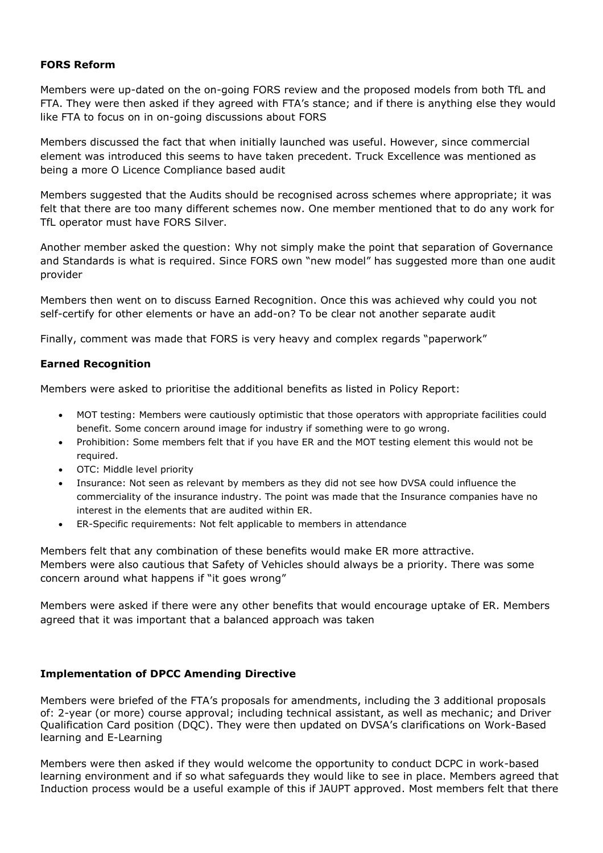# **FORS Reform**

Members were up-dated on the on-going FORS review and the proposed models from both TfL and FTA. They were then asked if they agreed with FTA's stance; and if there is anything else they would like FTA to focus on in on-going discussions about FORS

Members discussed the fact that when initially launched was useful. However, since commercial element was introduced this seems to have taken precedent. Truck Excellence was mentioned as being a more O Licence Compliance based audit

Members suggested that the Audits should be recognised across schemes where appropriate; it was felt that there are too many different schemes now. One member mentioned that to do any work for TfL operator must have FORS Silver.

Another member asked the question: Why not simply make the point that separation of Governance and Standards is what is required. Since FORS own "new model" has suggested more than one audit provider

Members then went on to discuss Earned Recognition. Once this was achieved why could you not self-certify for other elements or have an add-on? To be clear not another separate audit

Finally, comment was made that FORS is very heavy and complex regards "paperwork"

# **Earned Recognition**

Members were asked to prioritise the additional benefits as listed in Policy Report:

- MOT testing: Members were cautiously optimistic that those operators with appropriate facilities could benefit. Some concern around image for industry if something were to go wrong.
- Prohibition: Some members felt that if you have ER and the MOT testing element this would not be required.
- OTC: Middle level priority
- Insurance: Not seen as relevant by members as they did not see how DVSA could influence the commerciality of the insurance industry. The point was made that the Insurance companies have no interest in the elements that are audited within ER.
- ER-Specific requirements: Not felt applicable to members in attendance

Members felt that any combination of these benefits would make ER more attractive. Members were also cautious that Safety of Vehicles should always be a priority. There was some concern around what happens if "it goes wrong"

Members were asked if there were any other benefits that would encourage uptake of ER. Members agreed that it was important that a balanced approach was taken

# **Implementation of DPCC Amending Directive**

Members were briefed of the FTA's proposals for amendments, including the 3 additional proposals of: 2-year (or more) course approval; including technical assistant, as well as mechanic; and Driver Qualification Card position (DQC). They were then updated on DVSA's clarifications on Work-Based learning and E-Learning

Members were then asked if they would welcome the opportunity to conduct DCPC in work-based learning environment and if so what safeguards they would like to see in place. Members agreed that Induction process would be a useful example of this if JAUPT approved. Most members felt that there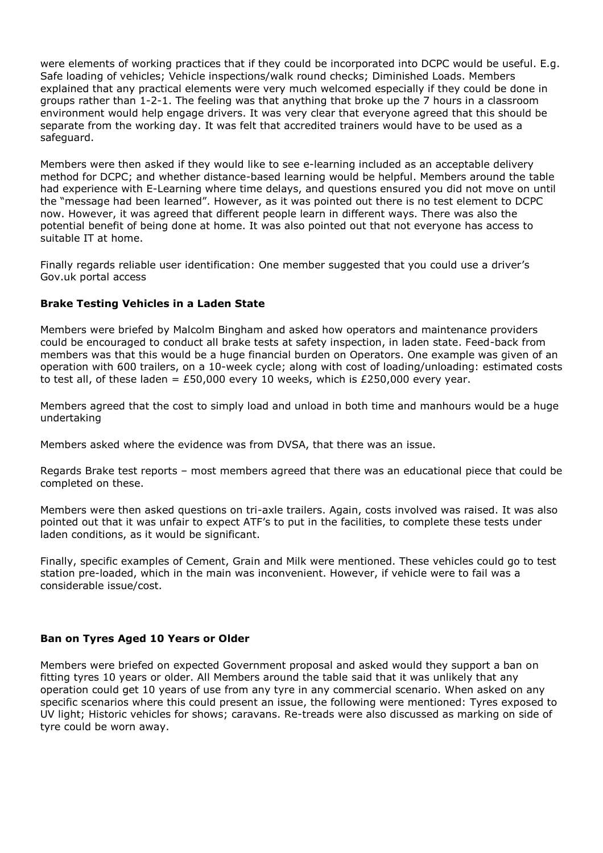were elements of working practices that if they could be incorporated into DCPC would be useful. E.g. Safe loading of vehicles; Vehicle inspections/walk round checks; Diminished Loads. Members explained that any practical elements were very much welcomed especially if they could be done in groups rather than 1-2-1. The feeling was that anything that broke up the 7 hours in a classroom environment would help engage drivers. It was very clear that everyone agreed that this should be separate from the working day. It was felt that accredited trainers would have to be used as a safeguard.

Members were then asked if they would like to see e-learning included as an acceptable delivery method for DCPC; and whether distance-based learning would be helpful. Members around the table had experience with E-Learning where time delays, and questions ensured you did not move on until the "message had been learned". However, as it was pointed out there is no test element to DCPC now. However, it was agreed that different people learn in different ways. There was also the potential benefit of being done at home. It was also pointed out that not everyone has access to suitable IT at home.

Finally regards reliable user identification: One member suggested that you could use a driver's Gov.uk portal access

#### **Brake Testing Vehicles in a Laden State**

Members were briefed by Malcolm Bingham and asked how operators and maintenance providers could be encouraged to conduct all brake tests at safety inspection, in laden state. Feed-back from members was that this would be a huge financial burden on Operators. One example was given of an operation with 600 trailers, on a 10-week cycle; along with cost of loading/unloading: estimated costs to test all, of these laden = £50,000 every 10 weeks, which is £250,000 every year.

Members agreed that the cost to simply load and unload in both time and manhours would be a huge undertaking

Members asked where the evidence was from DVSA, that there was an issue.

Regards Brake test reports – most members agreed that there was an educational piece that could be completed on these.

Members were then asked questions on tri-axle trailers. Again, costs involved was raised. It was also pointed out that it was unfair to expect ATF's to put in the facilities, to complete these tests under laden conditions, as it would be significant.

Finally, specific examples of Cement, Grain and Milk were mentioned. These vehicles could go to test station pre-loaded, which in the main was inconvenient. However, if vehicle were to fail was a considerable issue/cost.

# **Ban on Tyres Aged 10 Years or Older**

Members were briefed on expected Government proposal and asked would they support a ban on fitting tyres 10 years or older. All Members around the table said that it was unlikely that any operation could get 10 years of use from any tyre in any commercial scenario. When asked on any specific scenarios where this could present an issue, the following were mentioned: Tyres exposed to UV light; Historic vehicles for shows; caravans. Re-treads were also discussed as marking on side of tyre could be worn away.